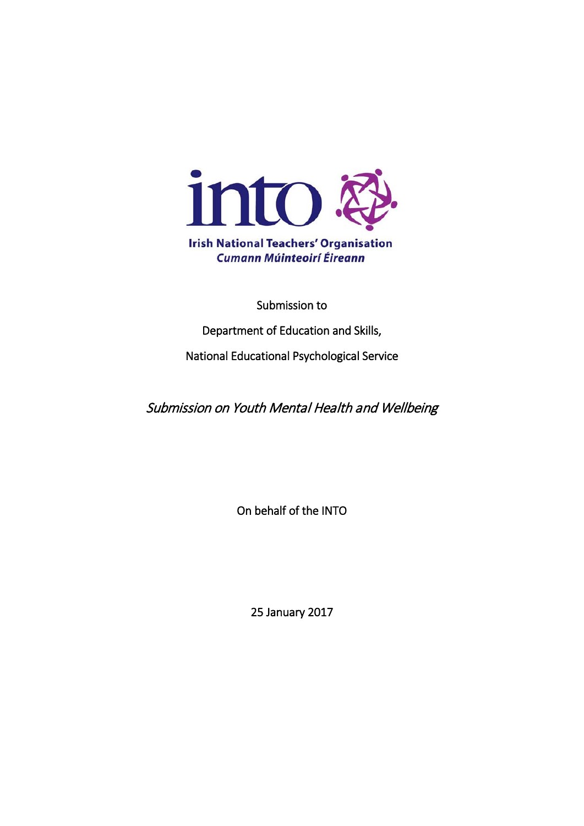

Submission to

Department of Education and Skills,

National Educational Psychological Service

Submission on Youth Mental Health and Wellbeing

On behalf of the INTO

25 January 2017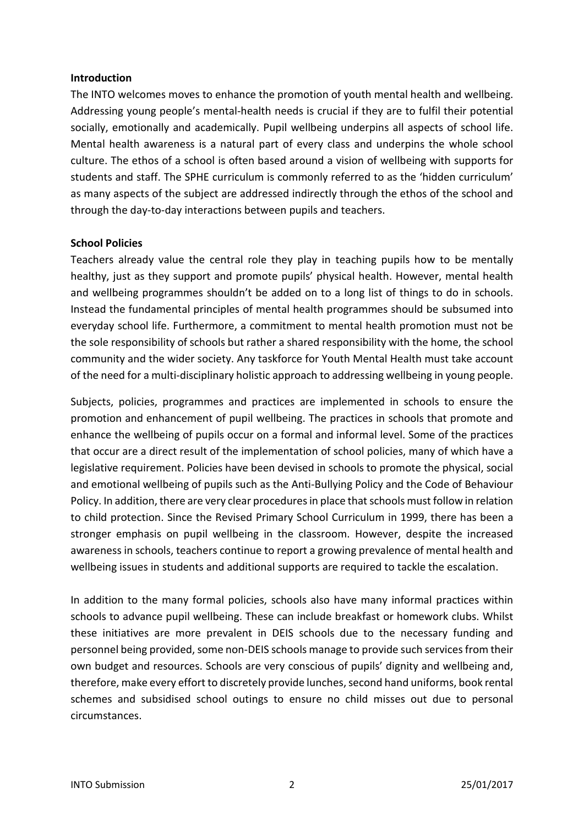## **Introduction**

The INTO welcomes moves to enhance the promotion of youth mental health and wellbeing. Addressing young people's mental-health needs is crucial if they are to fulfil their potential socially, emotionally and academically. Pupil wellbeing underpins all aspects of school life. Mental health awareness is a natural part of every class and underpins the whole school culture. The ethos of a school is often based around a vision of wellbeing with supports for students and staff. The SPHE curriculum is commonly referred to as the 'hidden curriculum' as many aspects of the subject are addressed indirectly through the ethos of the school and through the day-to-day interactions between pupils and teachers.

## **School Policies**

Teachers already value the central role they play in teaching pupils how to be mentally healthy, just as they support and promote pupils' physical health. However, mental health and wellbeing programmes shouldn't be added on to a long list of things to do in schools. Instead the fundamental principles of mental health programmes should be subsumed into everyday school life. Furthermore, a commitment to mental health promotion must not be the sole responsibility of schools but rather a shared responsibility with the home, the school community and the wider society. Any taskforce for Youth Mental Health must take account of the need for a multi-disciplinary holistic approach to addressing wellbeing in young people.

Subjects, policies, programmes and practices are implemented in schools to ensure the promotion and enhancement of pupil wellbeing. The practices in schools that promote and enhance the wellbeing of pupils occur on a formal and informal level. Some of the practices that occur are a direct result of the implementation of school policies, many of which have a legislative requirement. Policies have been devised in schools to promote the physical, social and emotional wellbeing of pupils such as the Anti-Bullying Policy and the Code of Behaviour Policy. In addition, there are very clear procedures in place that schools must follow in relation to child protection. Since the Revised Primary School Curriculum in 1999, there has been a stronger emphasis on pupil wellbeing in the classroom. However, despite the increased awareness in schools, teachers continue to report a growing prevalence of mental health and wellbeing issues in students and additional supports are required to tackle the escalation.

In addition to the many formal policies, schools also have many informal practices within schools to advance pupil wellbeing. These can include breakfast or homework clubs. Whilst these initiatives are more prevalent in DEIS schools due to the necessary funding and personnel being provided, some non-DEIS schools manage to provide such services from their own budget and resources. Schools are very conscious of pupils' dignity and wellbeing and, therefore, make every effort to discretely provide lunches, second hand uniforms, book rental schemes and subsidised school outings to ensure no child misses out due to personal circumstances.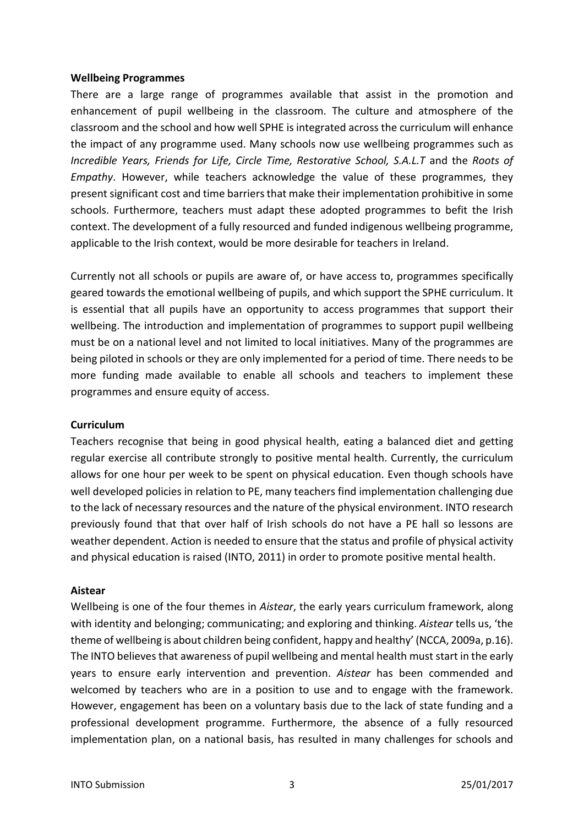## **Wellbeing Programmes**

There are a large range of programmes available that assist in the promotion and enhancement of pupil wellbeing in the classroom. The culture and atmosphere of the classroom and the school and how well SPHE is integrated across the curriculum will enhance the impact of any programme used. Many schools now use wellbeing programmes such as *Incredible Years, Friends for Life, Circle Time, Restorative School, S.A.L.T* and the *Roots of Empathy*. However, while teachers acknowledge the value of these programmes, they present significant cost and time barriers that make their implementation prohibitive in some schools. Furthermore, teachers must adapt these adopted programmes to befit the Irish context. The development of a fully resourced and funded indigenous wellbeing programme, applicable to the Irish context, would be more desirable for teachers in Ireland.

Currently not all schools or pupils are aware of, or have access to, programmes specifically geared towards the emotional wellbeing of pupils, and which support the SPHE curriculum. It is essential that all pupils have an opportunity to access programmes that support their wellbeing. The introduction and implementation of programmes to support pupil wellbeing must be on a national level and not limited to local initiatives. Many of the programmes are being piloted in schools or they are only implemented for a period of time. There needs to be more funding made available to enable all schools and teachers to implement these programmes and ensure equity of access.

## **Curriculum**

Teachers recognise that being in good physical health, eating a balanced diet and getting regular exercise all contribute strongly to positive mental health. Currently, the curriculum allows for one hour per week to be spent on physical education. Even though schools have well developed policies in relation to PE, many teachers find implementation challenging due to the lack of necessary resources and the nature of the physical environment. INTO research previously found that that over half of Irish schools do not have a PE hall so lessons are weather dependent. Action is needed to ensure that the status and profile of physical activity and physical education is raised (INTO, 2011) in order to promote positive mental health.

#### **Aistear**

Wellbeing is one of the four themes in *Aistear*, the early years curriculum framework, along with identity and belonging; communicating; and exploring and thinking. *Aistear* tells us, 'the theme of wellbeing is about children being confident, happy and healthy' (NCCA, 2009a, p.16). The INTO believes that awareness of pupil wellbeing and mental health must start in the early years to ensure early intervention and prevention. *Aistear* has been commended and welcomed by teachers who are in a position to use and to engage with the framework. However, engagement has been on a voluntary basis due to the lack of state funding and a professional development programme. Furthermore, the absence of a fully resourced implementation plan, on a national basis, has resulted in many challenges for schools and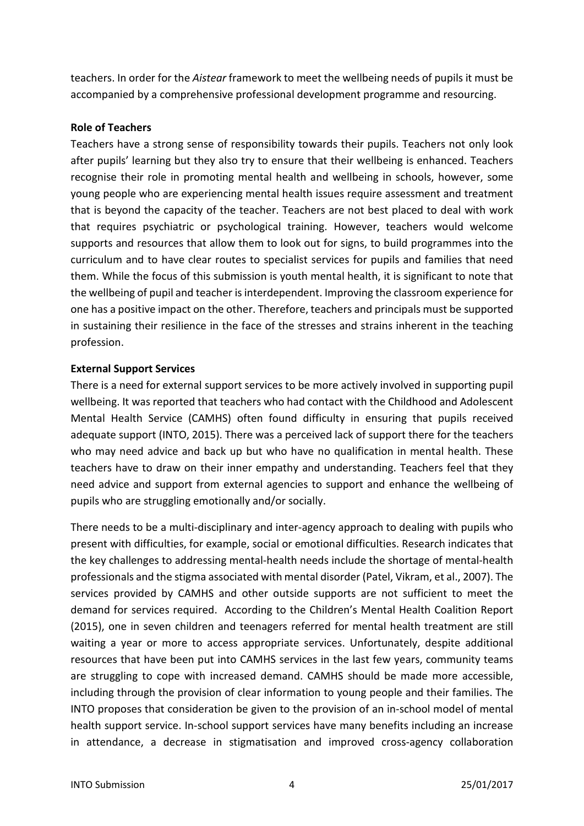teachers. In order for the *Aistear* framework to meet the wellbeing needs of pupils it must be accompanied by a comprehensive professional development programme and resourcing.

# **Role of Teachers**

Teachers have a strong sense of responsibility towards their pupils. Teachers not only look after pupils' learning but they also try to ensure that their wellbeing is enhanced. Teachers recognise their role in promoting mental health and wellbeing in schools, however, some young people who are experiencing mental health issues require assessment and treatment that is beyond the capacity of the teacher. Teachers are not best placed to deal with work that requires psychiatric or psychological training. However, teachers would welcome supports and resources that allow them to look out for signs, to build programmes into the curriculum and to have clear routes to specialist services for pupils and families that need them. While the focus of this submission is youth mental health, it is significant to note that the wellbeing of pupil and teacher is interdependent. Improving the classroom experience for one has a positive impact on the other. Therefore, teachers and principals must be supported in sustaining their resilience in the face of the stresses and strains inherent in the teaching profession.

# **External Support Services**

There is a need for external support services to be more actively involved in supporting pupil wellbeing. It was reported that teachers who had contact with the Childhood and Adolescent Mental Health Service (CAMHS) often found difficulty in ensuring that pupils received adequate support (INTO, 2015). There was a perceived lack of support there for the teachers who may need advice and back up but who have no qualification in mental health. These teachers have to draw on their inner empathy and understanding. Teachers feel that they need advice and support from external agencies to support and enhance the wellbeing of pupils who are struggling emotionally and/or socially.

There needs to be a multi-disciplinary and inter-agency approach to dealing with pupils who present with difficulties, for example, social or emotional difficulties. Research indicates that the key challenges to addressing mental-health needs include the shortage of mental-health professionals and the stigma associated with mental disorder (Patel, Vikram, et al., 2007). The services provided by CAMHS and other outside supports are not sufficient to meet the demand for services required. According to the Children's Mental Health Coalition Report (2015), one in seven children and teenagers referred for mental health treatment are still waiting a year or more to access appropriate services. Unfortunately, despite additional resources that have been put into CAMHS services in the last few years, community teams are struggling to cope with increased demand. CAMHS should be made more accessible, including through the provision of clear information to young people and their families. The INTO proposes that consideration be given to the provision of an in-school model of mental health support service. In-school support services have many benefits including an increase in attendance, a decrease in stigmatisation and improved cross-agency collaboration